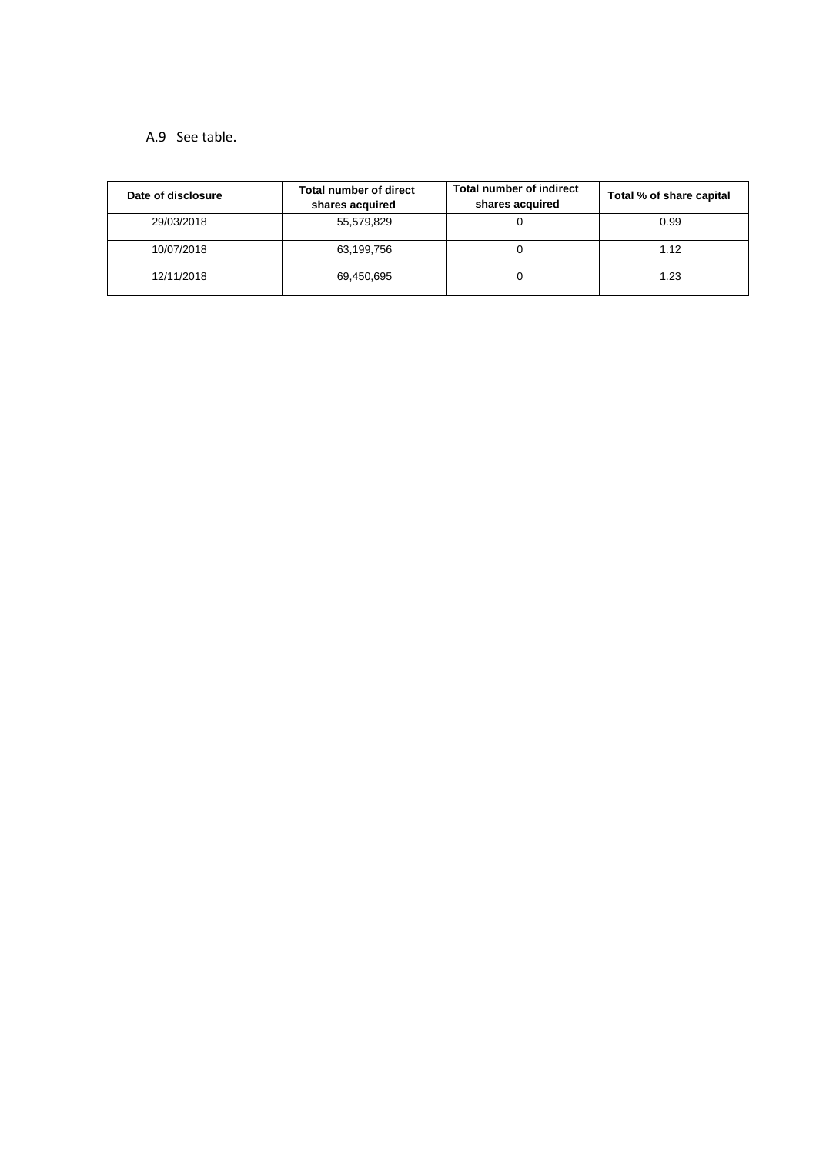### A.9 See table.

| Date of disclosure | Total number of direct<br>shares acquired | Total number of indirect<br>shares acquired | Total % of share capital |
|--------------------|-------------------------------------------|---------------------------------------------|--------------------------|
| 29/03/2018         | 55,579,829                                | U                                           | 0.99                     |
| 10/07/2018         | 63,199,756                                | v                                           | 1.12                     |
| 12/11/2018         | 69,450,695                                | U                                           | 1.23                     |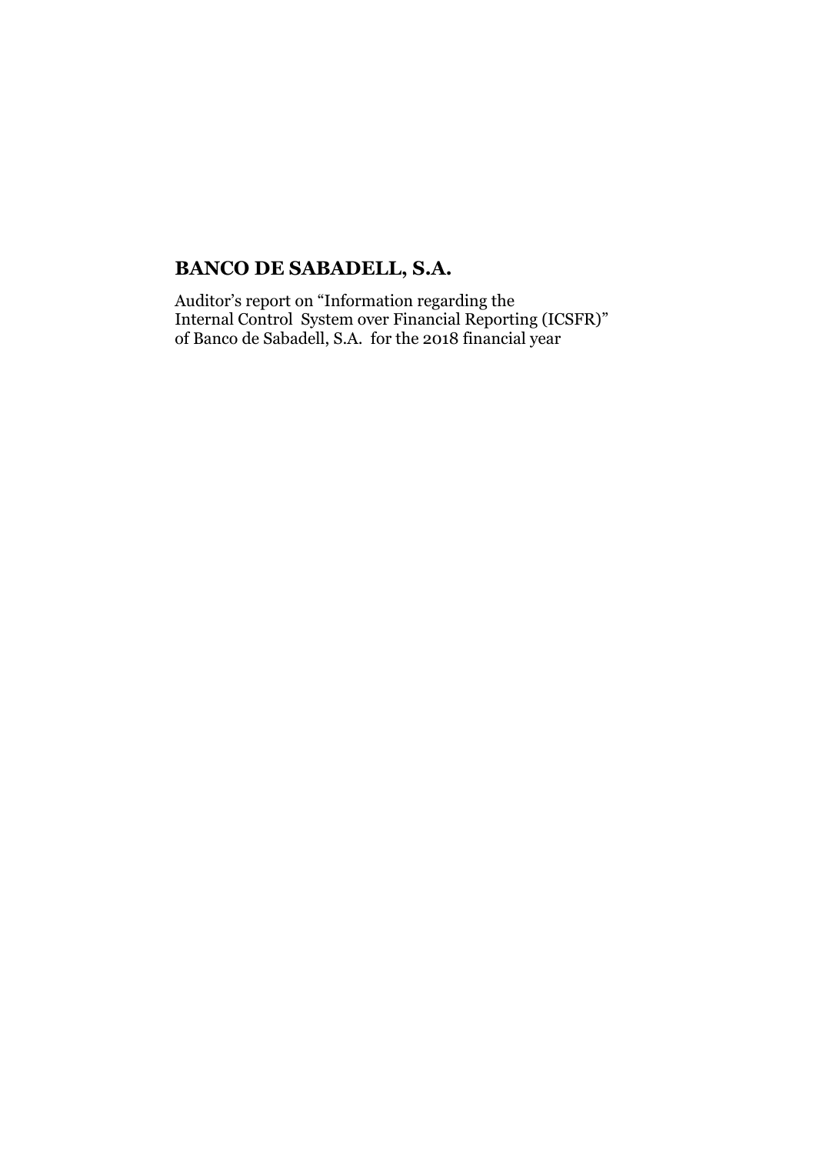# **BANCO DE SABADELL, S.A.**

Auditor's report on "Information regarding the Internal Control System over Financial Reporting (ICSFR)" of Banco de Sabadell, S.A. for the 2018 financial year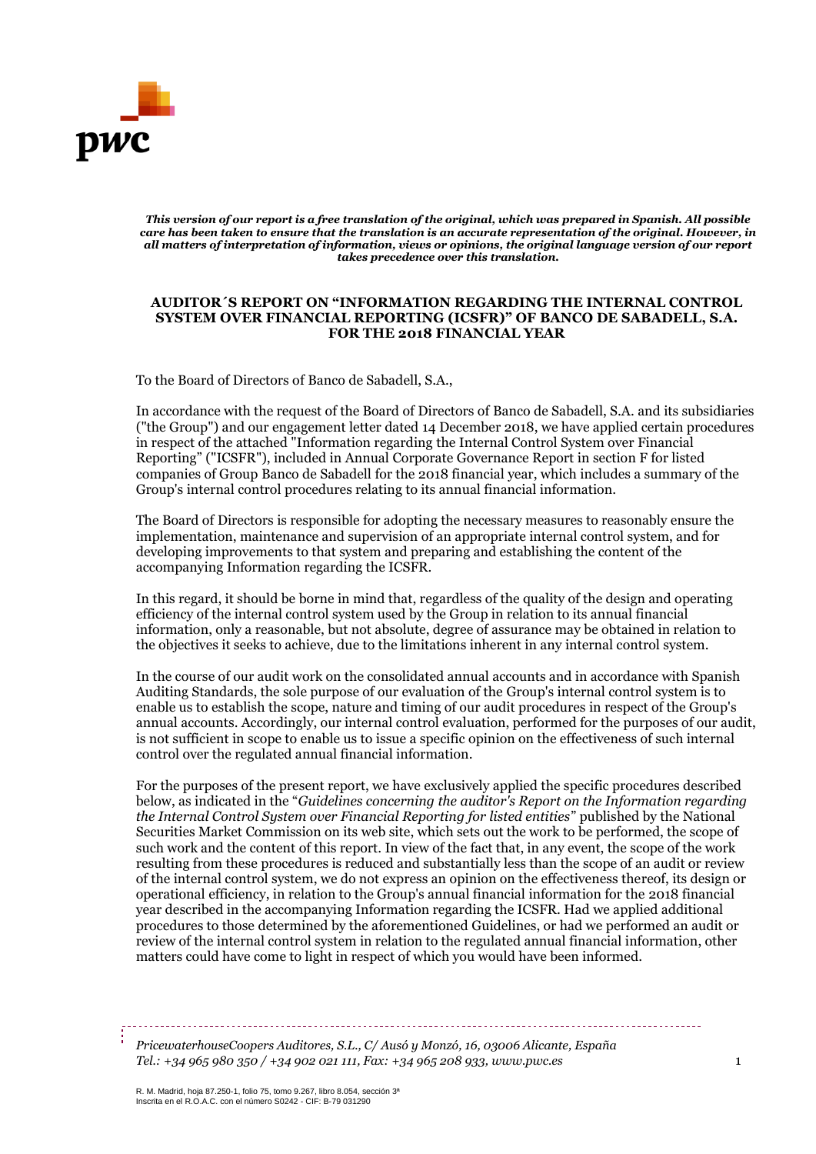

#### *This version of our report is a free translation of the original, which was prepared in Spanish. All possible care has been taken to ensure that the translation is an accurate representation of the original. However, in all matters of interpretation of information, views or opinions, the original language version of our report takes precedence over this translation.*

#### **AUDITOR´S REPORT ON "INFORMATION REGARDING THE INTERNAL CONTROL SYSTEM OVER FINANCIAL REPORTING (ICSFR)" OF BANCO DE SABADELL, S.A. FOR THE 2018 FINANCIAL YEAR**

To the Board of Directors of Banco de Sabadell, S.A.,

In accordance with the request of the Board of Directors of Banco de Sabadell, S.A. and its subsidiaries ("the Group") and our engagement letter dated 14 December 2018, we have applied certain procedures in respect of the attached "Information regarding the Internal Control System over Financial Reporting" ("ICSFR"), included in Annual Corporate Governance Report in section F for listed companies of Group Banco de Sabadell for the 2018 financial year, which includes a summary of the Group's internal control procedures relating to its annual financial information.

The Board of Directors is responsible for adopting the necessary measures to reasonably ensure the implementation, maintenance and supervision of an appropriate internal control system, and for developing improvements to that system and preparing and establishing the content of the accompanying Information regarding the ICSFR.

In this regard, it should be borne in mind that, regardless of the quality of the design and operating efficiency of the internal control system used by the Group in relation to its annual financial information, only a reasonable, but not absolute, degree of assurance may be obtained in relation to the objectives it seeks to achieve, due to the limitations inherent in any internal control system.

In the course of our audit work on the consolidated annual accounts and in accordance with Spanish Auditing Standards, the sole purpose of our evaluation of the Group's internal control system is to enable us to establish the scope, nature and timing of our audit procedures in respect of the Group's annual accounts. Accordingly, our internal control evaluation, performed for the purposes of our audit, is not sufficient in scope to enable us to issue a specific opinion on the effectiveness of such internal control over the regulated annual financial information.

For the purposes of the present report, we have exclusively applied the specific procedures described below, as indicated in the "*Guidelines concerning the auditor's Report on the Information regarding the Internal Control System over Financial Reporting for listed entities*" published by the National Securities Market Commission on its web site, which sets out the work to be performed, the scope of such work and the content of this report. In view of the fact that, in any event, the scope of the work resulting from these procedures is reduced and substantially less than the scope of an audit or review of the internal control system, we do not express an opinion on the effectiveness thereof, its design or operational efficiency, in relation to the Group's annual financial information for the 2018 financial year described in the accompanying Information regarding the ICSFR. Had we applied additional procedures to those determined by the aforementioned Guidelines, or had we performed an audit or review of the internal control system in relation to the regulated annual financial information, other matters could have come to light in respect of which you would have been informed.

*PricewaterhouseCoopers Auditores, S.L., C/ Ausó y Monzó, 16, 03006 Alicante, España Tel.: +34 965 980 350 / +34 902 021 111, Fax: +34 965 208 933, [www.pwc.es](http://www.pwc.es/)* 1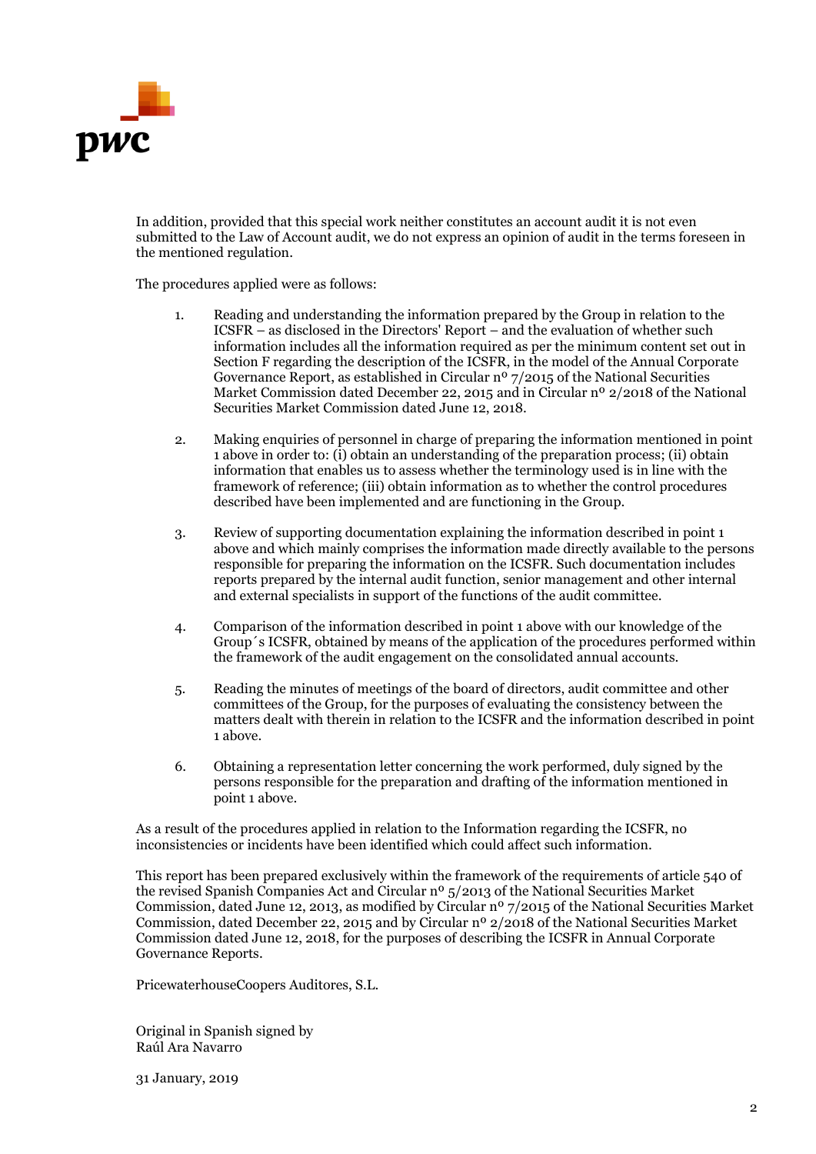

In addition, provided that this special work neither constitutes an account audit it is not even submitted to the Law of Account audit, we do not express an opinion of audit in the terms foreseen in the mentioned regulation.

The procedures applied were as follows:

- 1. Reading and understanding the information prepared by the Group in relation to the ICSFR – as disclosed in the Directors' Report – and the evaluation of whether such information includes all the information required as per the minimum content set out in Section F regarding the description of the ICSFR, in the model of the Annual Corporate Governance Report, as established in Circular nº 7/2015 of the National Securities Market Commission dated December 22, 2015 and in Circular nº 2/2018 of the National Securities Market Commission dated June 12, 2018.
- 2. Making enquiries of personnel in charge of preparing the information mentioned in point 1 above in order to: (i) obtain an understanding of the preparation process; (ii) obtain information that enables us to assess whether the terminology used is in line with the framework of reference; (iii) obtain information as to whether the control procedures described have been implemented and are functioning in the Group.
- 3. Review of supporting documentation explaining the information described in point 1 above and which mainly comprises the information made directly available to the persons responsible for preparing the information on the ICSFR. Such documentation includes reports prepared by the internal audit function, senior management and other internal and external specialists in support of the functions of the audit committee.
- 4. Comparison of the information described in point 1 above with our knowledge of the Group´s ICSFR, obtained by means of the application of the procedures performed within the framework of the audit engagement on the consolidated annual accounts.
- 5. Reading the minutes of meetings of the board of directors, audit committee and other committees of the Group, for the purposes of evaluating the consistency between the matters dealt with therein in relation to the ICSFR and the information described in point 1 above.
- 6. Obtaining a representation letter concerning the work performed, duly signed by the persons responsible for the preparation and drafting of the information mentioned in point 1 above.

As a result of the procedures applied in relation to the Information regarding the ICSFR, no inconsistencies or incidents have been identified which could affect such information.

This report has been prepared exclusively within the framework of the requirements of article 540 of the revised Spanish Companies Act and Circular nº 5/2013 of the National Securities Market Commission, dated June 12, 2013, as modified by Circular nº 7/2015 of the National Securities Market Commission, dated December 22, 2015 and by Circular nº 2/2018 of the National Securities Market Commission dated June 12, 2018, for the purposes of describing the ICSFR in Annual Corporate Governance Reports.

PricewaterhouseCoopers Auditores, S.L.

Original in Spanish signed by Raúl Ara Navarro

31 January, 2019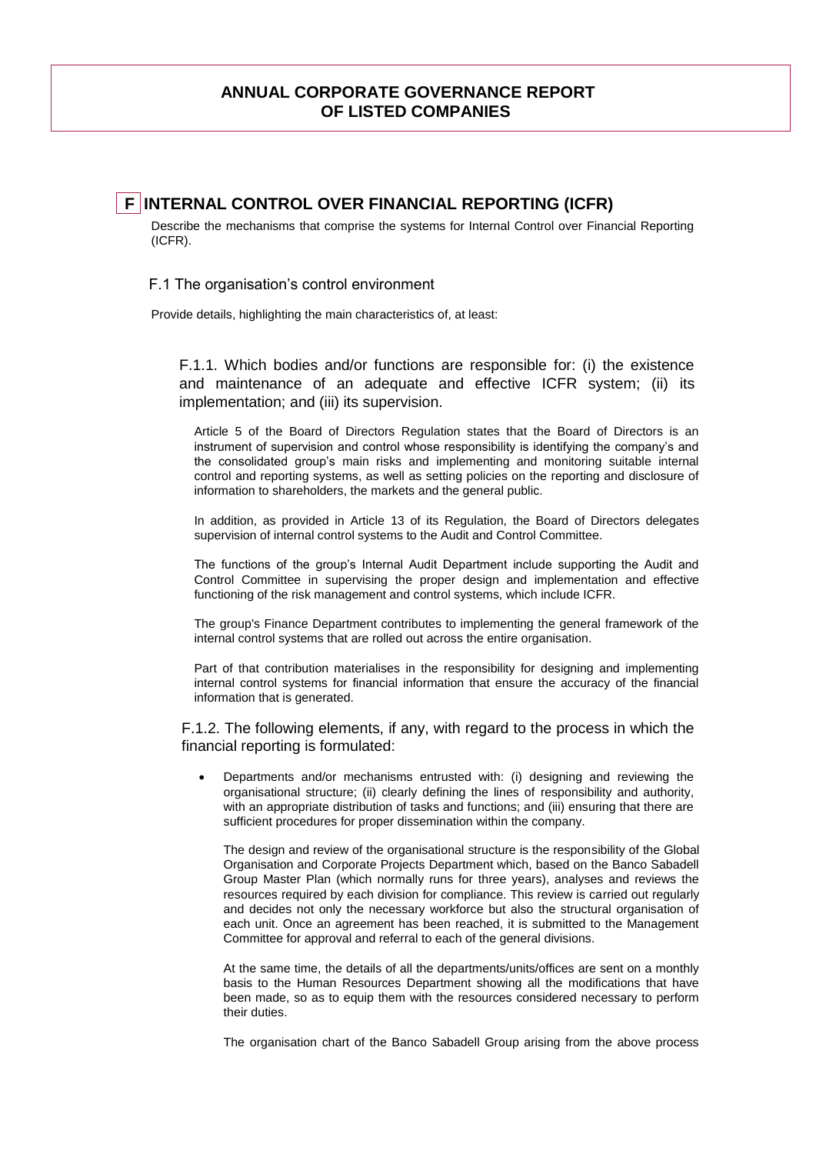## **F INTERNAL CONTROL OVER FINANCIAL REPORTING (ICFR)**

Describe the mechanisms that comprise the systems for Internal Control over Financial Reporting (ICFR).

#### F.1 The organisation's control environment

Provide details, highlighting the main characteristics of, at least:

F.1.1. Which bodies and/or functions are responsible for: (i) the existence and maintenance of an adequate and effective ICFR system; (ii) its implementation; and (iii) its supervision.

Article 5 of the Board of Directors Regulation states that the Board of Directors is an instrument of supervision and control whose responsibility is identifying the company's and the consolidated group's main risks and implementing and monitoring suitable internal control and reporting systems, as well as setting policies on the reporting and disclosure of information to shareholders, the markets and the general public.

In addition, as provided in Article 13 of its Regulation, the Board of Directors delegates supervision of internal control systems to the Audit and Control Committee.

The functions of the group's Internal Audit Department include supporting the Audit and Control Committee in supervising the proper design and implementation and effective functioning of the risk management and control systems, which include ICFR.

The group's Finance Department contributes to implementing the general framework of the internal control systems that are rolled out across the entire organisation.

Part of that contribution materialises in the responsibility for designing and implementing internal control systems for financial information that ensure the accuracy of the financial information that is generated.

F.1.2. The following elements, if any, with regard to the process in which the financial reporting is formulated:

 Departments and/or mechanisms entrusted with: (i) designing and reviewing the organisational structure; (ii) clearly defining the lines of responsibility and authority, with an appropriate distribution of tasks and functions; and (iii) ensuring that there are sufficient procedures for proper dissemination within the company.

The design and review of the organisational structure is the responsibility of the Global Organisation and Corporate Projects Department which, based on the Banco Sabadell Group Master Plan (which normally runs for three years), analyses and reviews the resources required by each division for compliance. This review is carried out regularly and decides not only the necessary workforce but also the structural organisation of each unit. Once an agreement has been reached, it is submitted to the Management Committee for approval and referral to each of the general divisions.

At the same time, the details of all the departments/units/offices are sent on a monthly basis to the Human Resources Department showing all the modifications that have been made, so as to equip them with the resources considered necessary to perform their duties.

The organisation chart of the Banco Sabadell Group arising from the above process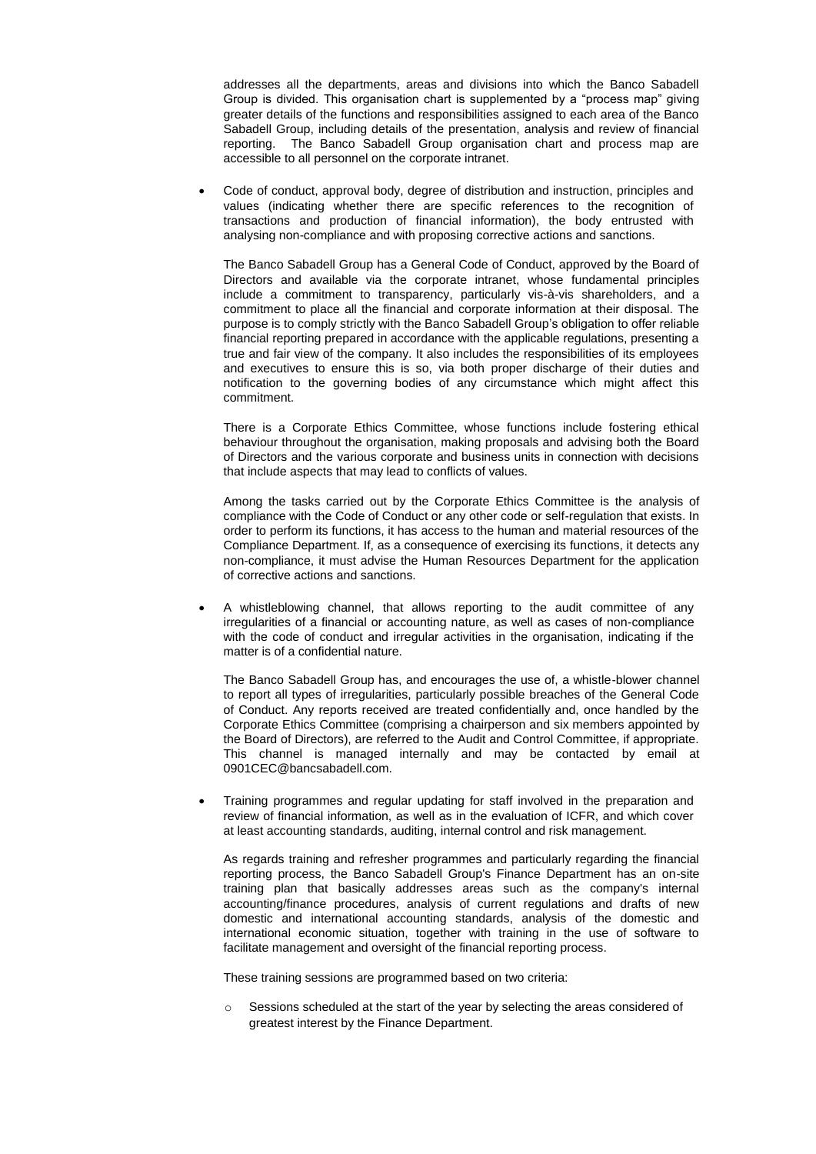addresses all the departments, areas and divisions into which the Banco Sabadell Group is divided. This organisation chart is supplemented by a "process map" giving greater details of the functions and responsibilities assigned to each area of the Banco Sabadell Group, including details of the presentation, analysis and review of financial reporting. The Banco Sabadell Group organisation chart and process map are accessible to all personnel on the corporate intranet.

 Code of conduct, approval body, degree of distribution and instruction, principles and values (indicating whether there are specific references to the recognition of transactions and production of financial information), the body entrusted with analysing non-compliance and with proposing corrective actions and sanctions.

The Banco Sabadell Group has a General Code of Conduct, approved by the Board of Directors and available via the corporate intranet, whose fundamental principles include a commitment to transparency, particularly vis-à-vis shareholders, and a commitment to place all the financial and corporate information at their disposal. The purpose is to comply strictly with the Banco Sabadell Group's obligation to offer reliable financial reporting prepared in accordance with the applicable regulations, presenting a true and fair view of the company. It also includes the responsibilities of its employees and executives to ensure this is so, via both proper discharge of their duties and notification to the governing bodies of any circumstance which might affect this commitment.

There is a Corporate Ethics Committee, whose functions include fostering ethical behaviour throughout the organisation, making proposals and advising both the Board of Directors and the various corporate and business units in connection with decisions that include aspects that may lead to conflicts of values.

Among the tasks carried out by the Corporate Ethics Committee is the analysis of compliance with the Code of Conduct or any other code or self-regulation that exists. In order to perform its functions, it has access to the human and material resources of the Compliance Department. If, as a consequence of exercising its functions, it detects any non-compliance, it must advise the Human Resources Department for the application of corrective actions and sanctions.

 A whistleblowing channel, that allows reporting to the audit committee of any irregularities of a financial or accounting nature, as well as cases of non-compliance with the code of conduct and irregular activities in the organisation, indicating if the matter is of a confidential nature.

The Banco Sabadell Group has, and encourages the use of, a whistle-blower channel to report all types of irregularities, particularly possible breaches of the General Code of Conduct. Any reports received are treated confidentially and, once handled by the Corporate Ethics Committee (comprising a chairperson and six members appointed by the Board of Directors), are referred to the Audit and Control Committee, if appropriate. This channel is managed internally and may be contacted by email at 0901CEC@bancsabadell.com.

 Training programmes and regular updating for staff involved in the preparation and review of financial information, as well as in the evaluation of ICFR, and which cover at least accounting standards, auditing, internal control and risk management.

As regards training and refresher programmes and particularly regarding the financial reporting process, the Banco Sabadell Group's Finance Department has an on-site training plan that basically addresses areas such as the company's internal accounting/finance procedures, analysis of current regulations and drafts of new domestic and international accounting standards, analysis of the domestic and international economic situation, together with training in the use of software to facilitate management and oversight of the financial reporting process.

These training sessions are programmed based on two criteria:

 $\circ$  Sessions scheduled at the start of the year by selecting the areas considered of greatest interest by the Finance Department.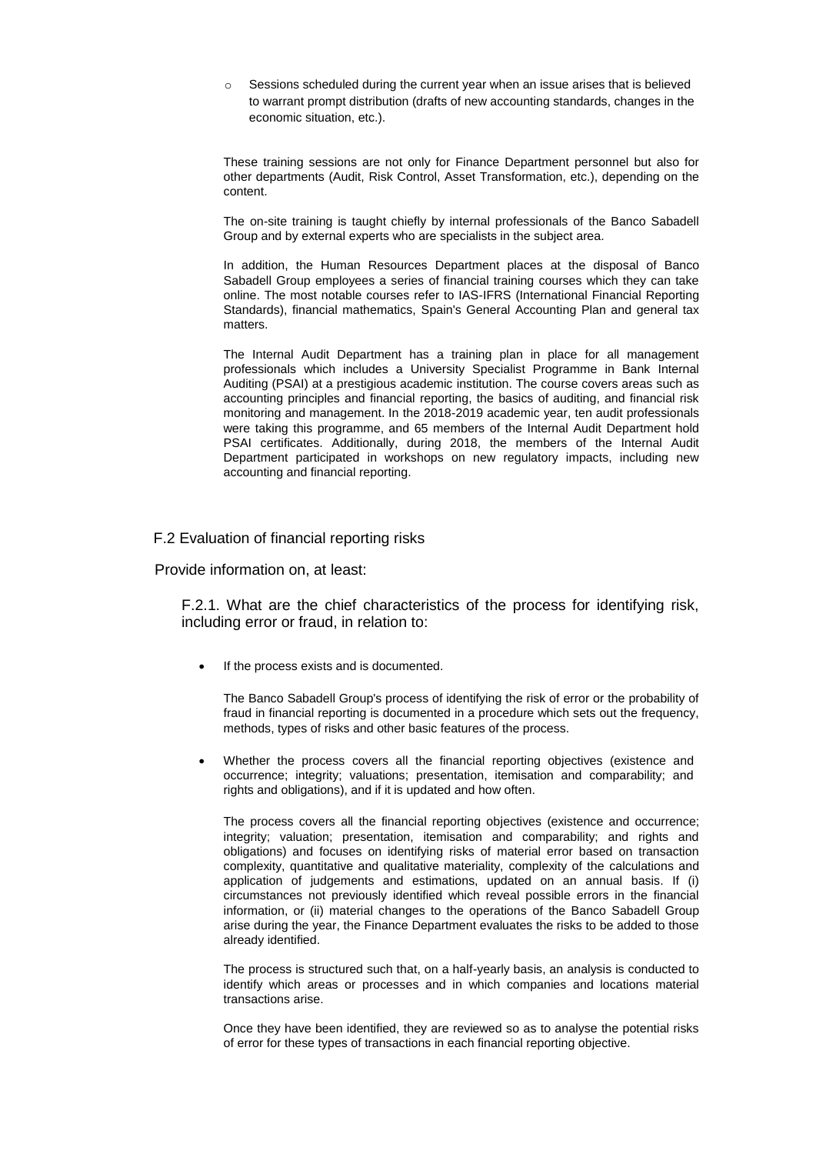$\circ$  Sessions scheduled during the current year when an issue arises that is believed to warrant prompt distribution (drafts of new accounting standards, changes in the economic situation, etc.).

These training sessions are not only for Finance Department personnel but also for other departments (Audit, Risk Control, Asset Transformation, etc.), depending on the content.

The on-site training is taught chiefly by internal professionals of the Banco Sabadell Group and by external experts who are specialists in the subject area.

In addition, the Human Resources Department places at the disposal of Banco Sabadell Group employees a series of financial training courses which they can take online. The most notable courses refer to IAS-IFRS (International Financial Reporting Standards), financial mathematics, Spain's General Accounting Plan and general tax matters.

The Internal Audit Department has a training plan in place for all management professionals which includes a University Specialist Programme in Bank Internal Auditing (PSAI) at a prestigious academic institution. The course covers areas such as accounting principles and financial reporting, the basics of auditing, and financial risk monitoring and management. In the 2018-2019 academic year, ten audit professionals were taking this programme, and 65 members of the Internal Audit Department hold PSAI certificates. Additionally, during 2018, the members of the Internal Audit Department participated in workshops on new regulatory impacts, including new accounting and financial reporting.

#### F.2 Evaluation of financial reporting risks

Provide information on, at least:

F.2.1. What are the chief characteristics of the process for identifying risk, including error or fraud, in relation to:

• If the process exists and is documented.

The Banco Sabadell Group's process of identifying the risk of error or the probability of fraud in financial reporting is documented in a procedure which sets out the frequency, methods, types of risks and other basic features of the process.

 Whether the process covers all the financial reporting objectives (existence and occurrence; integrity; valuations; presentation, itemisation and comparability; and rights and obligations), and if it is updated and how often.

The process covers all the financial reporting objectives (existence and occurrence; integrity; valuation; presentation, itemisation and comparability; and rights and obligations) and focuses on identifying risks of material error based on transaction complexity, quantitative and qualitative materiality, complexity of the calculations and application of judgements and estimations, updated on an annual basis. If (i) circumstances not previously identified which reveal possible errors in the financial information, or (ii) material changes to the operations of the Banco Sabadell Group arise during the year, the Finance Department evaluates the risks to be added to those already identified.

The process is structured such that, on a half-yearly basis, an analysis is conducted to identify which areas or processes and in which companies and locations material transactions arise.

Once they have been identified, they are reviewed so as to analyse the potential risks of error for these types of transactions in each financial reporting objective.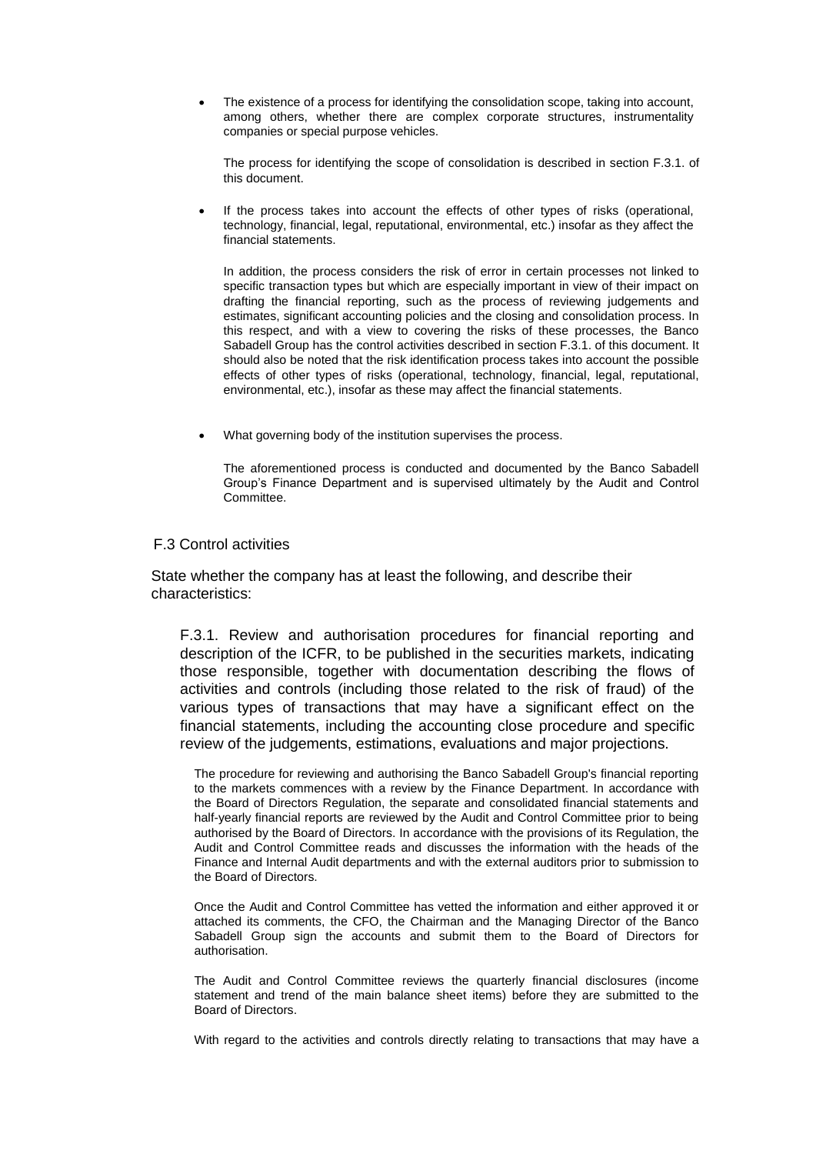The existence of a process for identifying the consolidation scope, taking into account, among others, whether there are complex corporate structures, instrumentality companies or special purpose vehicles.

The process for identifying the scope of consolidation is described in section F.3.1. of this document.

 If the process takes into account the effects of other types of risks (operational, technology, financial, legal, reputational, environmental, etc.) insofar as they affect the financial statements.

In addition, the process considers the risk of error in certain processes not linked to specific transaction types but which are especially important in view of their impact on drafting the financial reporting, such as the process of reviewing judgements and estimates, significant accounting policies and the closing and consolidation process. In this respect, and with a view to covering the risks of these processes, the Banco Sabadell Group has the control activities described in section F.3.1. of this document. It should also be noted that the risk identification process takes into account the possible effects of other types of risks (operational, technology, financial, legal, reputational, environmental, etc.), insofar as these may affect the financial statements.

What governing body of the institution supervises the process.

The aforementioned process is conducted and documented by the Banco Sabadell Group's Finance Department and is supervised ultimately by the Audit and Control Committee.

#### F.3 Control activities

State whether the company has at least the following, and describe their characteristics:

F.3.1. Review and authorisation procedures for financial reporting and description of the ICFR, to be published in the securities markets, indicating those responsible, together with documentation describing the flows of activities and controls (including those related to the risk of fraud) of the various types of transactions that may have a significant effect on the financial statements, including the accounting close procedure and specific review of the judgements, estimations, evaluations and major projections.

The procedure for reviewing and authorising the Banco Sabadell Group's financial reporting to the markets commences with a review by the Finance Department. In accordance with the Board of Directors Regulation, the separate and consolidated financial statements and half-yearly financial reports are reviewed by the Audit and Control Committee prior to being authorised by the Board of Directors. In accordance with the provisions of its Regulation, the Audit and Control Committee reads and discusses the information with the heads of the Finance and Internal Audit departments and with the external auditors prior to submission to the Board of Directors.

Once the Audit and Control Committee has vetted the information and either approved it or attached its comments, the CFO, the Chairman and the Managing Director of the Banco Sabadell Group sign the accounts and submit them to the Board of Directors for authorisation.

The Audit and Control Committee reviews the quarterly financial disclosures (income statement and trend of the main balance sheet items) before they are submitted to the Board of Directors.

With regard to the activities and controls directly relating to transactions that may have a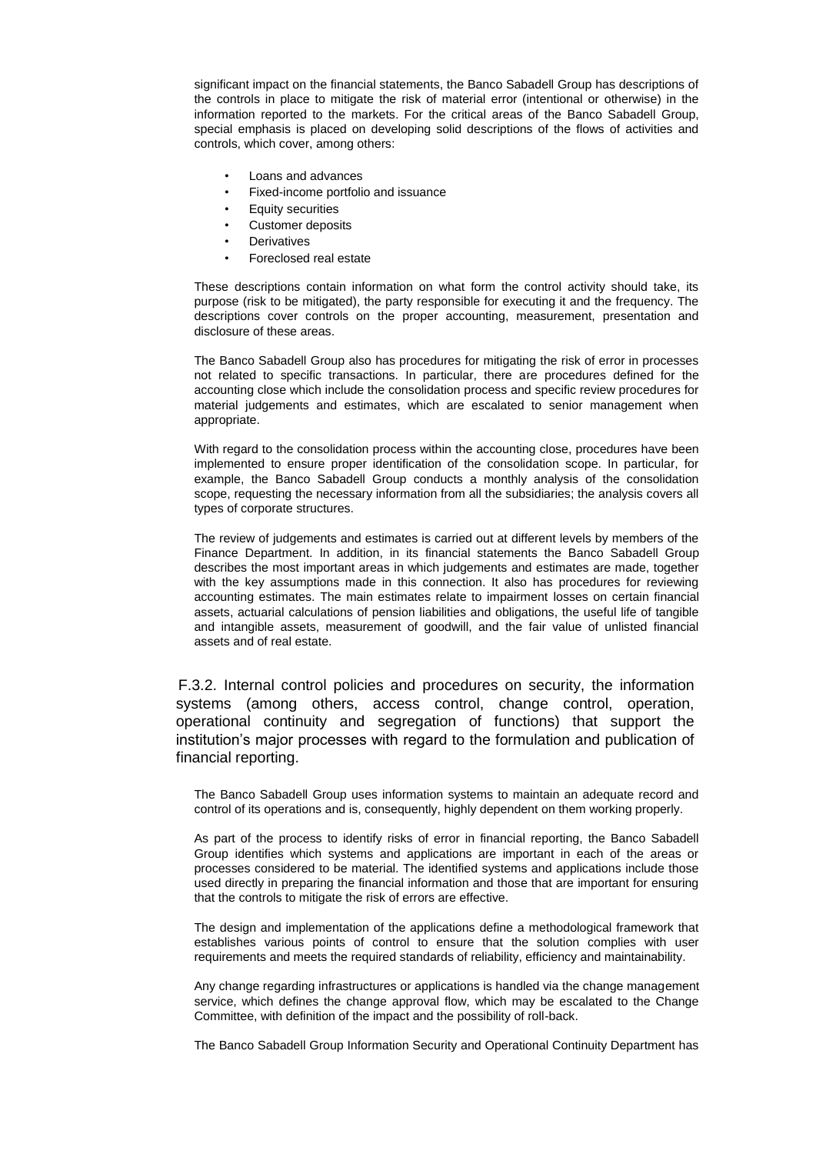significant impact on the financial statements, the Banco Sabadell Group has descriptions of the controls in place to mitigate the risk of material error (intentional or otherwise) in the information reported to the markets. For the critical areas of the Banco Sabadell Group, special emphasis is placed on developing solid descriptions of the flows of activities and controls, which cover, among others:

- Loans and advances
- Fixed-income portfolio and issuance
- Equity securities
- Customer deposits
- **Derivatives**
- Foreclosed real estate

These descriptions contain information on what form the control activity should take, its purpose (risk to be mitigated), the party responsible for executing it and the frequency. The descriptions cover controls on the proper accounting, measurement, presentation and disclosure of these areas.

The Banco Sabadell Group also has procedures for mitigating the risk of error in processes not related to specific transactions. In particular, there are procedures defined for the accounting close which include the consolidation process and specific review procedures for material judgements and estimates, which are escalated to senior management when appropriate.

With regard to the consolidation process within the accounting close, procedures have been implemented to ensure proper identification of the consolidation scope. In particular, for example, the Banco Sabadell Group conducts a monthly analysis of the consolidation scope, requesting the necessary information from all the subsidiaries; the analysis covers all types of corporate structures.

The review of judgements and estimates is carried out at different levels by members of the Finance Department. In addition, in its financial statements the Banco Sabadell Group describes the most important areas in which judgements and estimates are made, together with the key assumptions made in this connection. It also has procedures for reviewing accounting estimates. The main estimates relate to impairment losses on certain financial assets, actuarial calculations of pension liabilities and obligations, the useful life of tangible and intangible assets, measurement of goodwill, and the fair value of unlisted financial assets and of real estate.

 F.3.2. Internal control policies and procedures on security, the information systems (among others, access control, change control, operation, operational continuity and segregation of functions) that support the institution's major processes with regard to the formulation and publication of financial reporting.

The Banco Sabadell Group uses information systems to maintain an adequate record and control of its operations and is, consequently, highly dependent on them working properly.

As part of the process to identify risks of error in financial reporting, the Banco Sabadell Group identifies which systems and applications are important in each of the areas or processes considered to be material. The identified systems and applications include those used directly in preparing the financial information and those that are important for ensuring that the controls to mitigate the risk of errors are effective.

The design and implementation of the applications define a methodological framework that establishes various points of control to ensure that the solution complies with user requirements and meets the required standards of reliability, efficiency and maintainability.

Any change regarding infrastructures or applications is handled via the change management service, which defines the change approval flow, which may be escalated to the Change Committee, with definition of the impact and the possibility of roll-back.

The Banco Sabadell Group Information Security and Operational Continuity Department has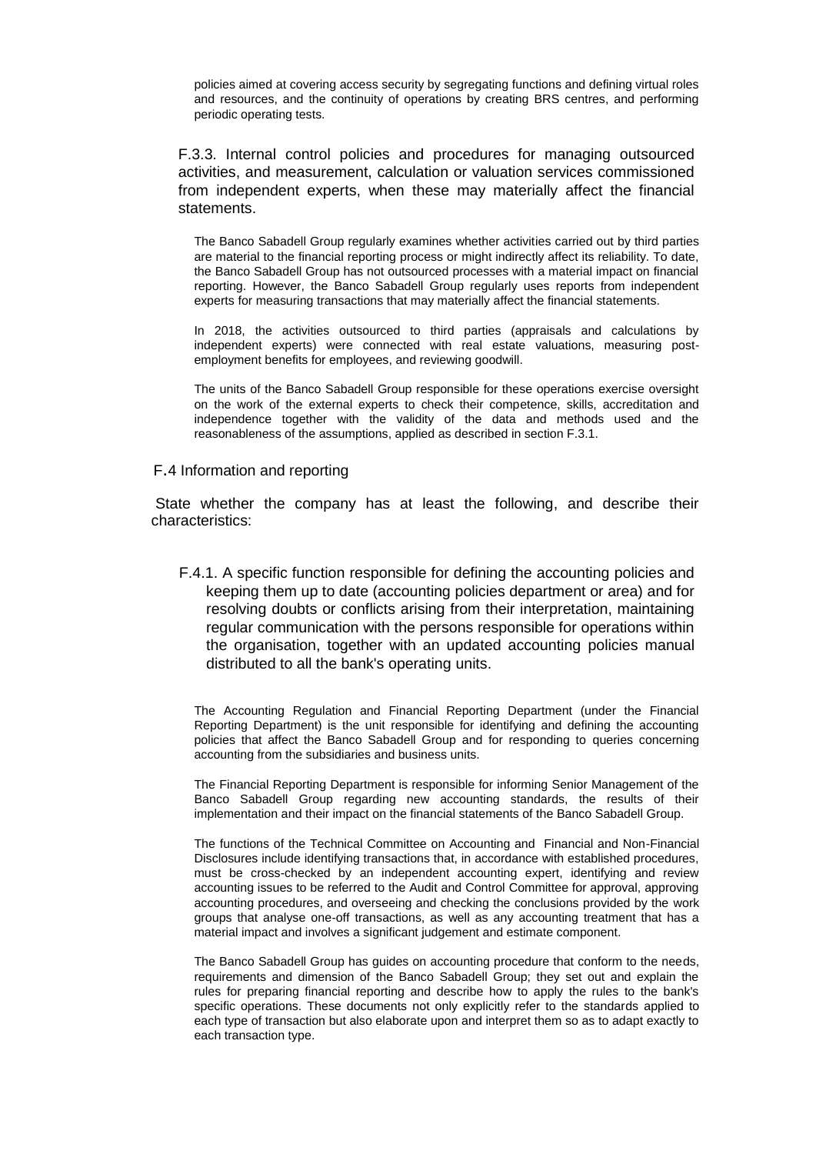policies aimed at covering access security by segregating functions and defining virtual roles and resources, and the continuity of operations by creating BRS centres, and performing periodic operating tests.

F.3.3. Internal control policies and procedures for managing outsourced activities, and measurement, calculation or valuation services commissioned from independent experts, when these may materially affect the financial statements.

The Banco Sabadell Group regularly examines whether activities carried out by third parties are material to the financial reporting process or might indirectly affect its reliability. To date, the Banco Sabadell Group has not outsourced processes with a material impact on financial reporting. However, the Banco Sabadell Group regularly uses reports from independent experts for measuring transactions that may materially affect the financial statements.

In 2018, the activities outsourced to third parties (appraisals and calculations by independent experts) were connected with real estate valuations, measuring postemployment benefits for employees, and reviewing goodwill.

The units of the Banco Sabadell Group responsible for these operations exercise oversight on the work of the external experts to check their competence, skills, accreditation and independence together with the validity of the data and methods used and the reasonableness of the assumptions, applied as described in section F.3.1.

#### F.4 Information and reporting

State whether the company has at least the following, and describe their characteristics:

 F.4.1. A specific function responsible for defining the accounting policies and keeping them up to date (accounting policies department or area) and for resolving doubts or conflicts arising from their interpretation, maintaining regular communication with the persons responsible for operations within the organisation, together with an updated accounting policies manual distributed to all the bank's operating units.

The Accounting Regulation and Financial Reporting Department (under the Financial Reporting Department) is the unit responsible for identifying and defining the accounting policies that affect the Banco Sabadell Group and for responding to queries concerning accounting from the subsidiaries and business units.

The Financial Reporting Department is responsible for informing Senior Management of the Banco Sabadell Group regarding new accounting standards, the results of their implementation and their impact on the financial statements of the Banco Sabadell Group.

The functions of the Technical Committee on Accounting and Financial and Non-Financial Disclosures include identifying transactions that, in accordance with established procedures, must be cross-checked by an independent accounting expert, identifying and review accounting issues to be referred to the Audit and Control Committee for approval, approving accounting procedures, and overseeing and checking the conclusions provided by the work groups that analyse one-off transactions, as well as any accounting treatment that has a material impact and involves a significant judgement and estimate component.

The Banco Sabadell Group has guides on accounting procedure that conform to the needs, requirements and dimension of the Banco Sabadell Group; they set out and explain the rules for preparing financial reporting and describe how to apply the rules to the bank's specific operations. These documents not only explicitly refer to the standards applied to each type of transaction but also elaborate upon and interpret them so as to adapt exactly to each transaction type.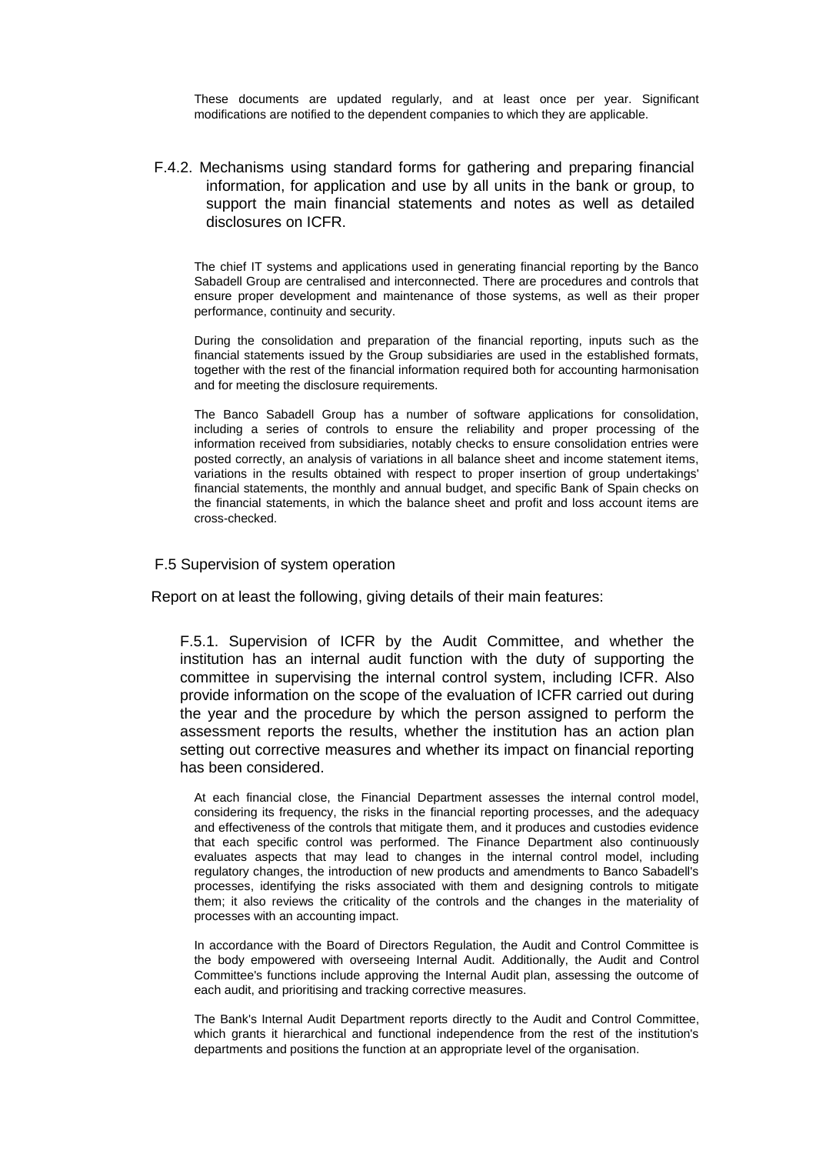These documents are updated regularly, and at least once per year. Significant modifications are notified to the dependent companies to which they are applicable.

F.4.2. Mechanisms using standard forms for gathering and preparing financial information, for application and use by all units in the bank or group, to support the main financial statements and notes as well as detailed disclosures on ICFR.

The chief IT systems and applications used in generating financial reporting by the Banco Sabadell Group are centralised and interconnected. There are procedures and controls that ensure proper development and maintenance of those systems, as well as their proper performance, continuity and security.

During the consolidation and preparation of the financial reporting, inputs such as the financial statements issued by the Group subsidiaries are used in the established formats, together with the rest of the financial information required both for accounting harmonisation and for meeting the disclosure requirements.

The Banco Sabadell Group has a number of software applications for consolidation, including a series of controls to ensure the reliability and proper processing of the information received from subsidiaries, notably checks to ensure consolidation entries were posted correctly, an analysis of variations in all balance sheet and income statement items, variations in the results obtained with respect to proper insertion of group undertakings' financial statements, the monthly and annual budget, and specific Bank of Spain checks on the financial statements, in which the balance sheet and profit and loss account items are cross-checked.

#### F.5 Supervision of system operation

Report on at least the following, giving details of their main features:

F.5.1. Supervision of ICFR by the Audit Committee, and whether the institution has an internal audit function with the duty of supporting the committee in supervising the internal control system, including ICFR. Also provide information on the scope of the evaluation of ICFR carried out during the year and the procedure by which the person assigned to perform the assessment reports the results, whether the institution has an action plan setting out corrective measures and whether its impact on financial reporting has been considered.

At each financial close, the Financial Department assesses the internal control model, considering its frequency, the risks in the financial reporting processes, and the adequacy and effectiveness of the controls that mitigate them, and it produces and custodies evidence that each specific control was performed. The Finance Department also continuously evaluates aspects that may lead to changes in the internal control model, including regulatory changes, the introduction of new products and amendments to Banco Sabadell's processes, identifying the risks associated with them and designing controls to mitigate them; it also reviews the criticality of the controls and the changes in the materiality of processes with an accounting impact.

In accordance with the Board of Directors Regulation, the Audit and Control Committee is the body empowered with overseeing Internal Audit. Additionally, the Audit and Control Committee's functions include approving the Internal Audit plan, assessing the outcome of each audit, and prioritising and tracking corrective measures.

The Bank's Internal Audit Department reports directly to the Audit and Control Committee, which grants it hierarchical and functional independence from the rest of the institution's departments and positions the function at an appropriate level of the organisation.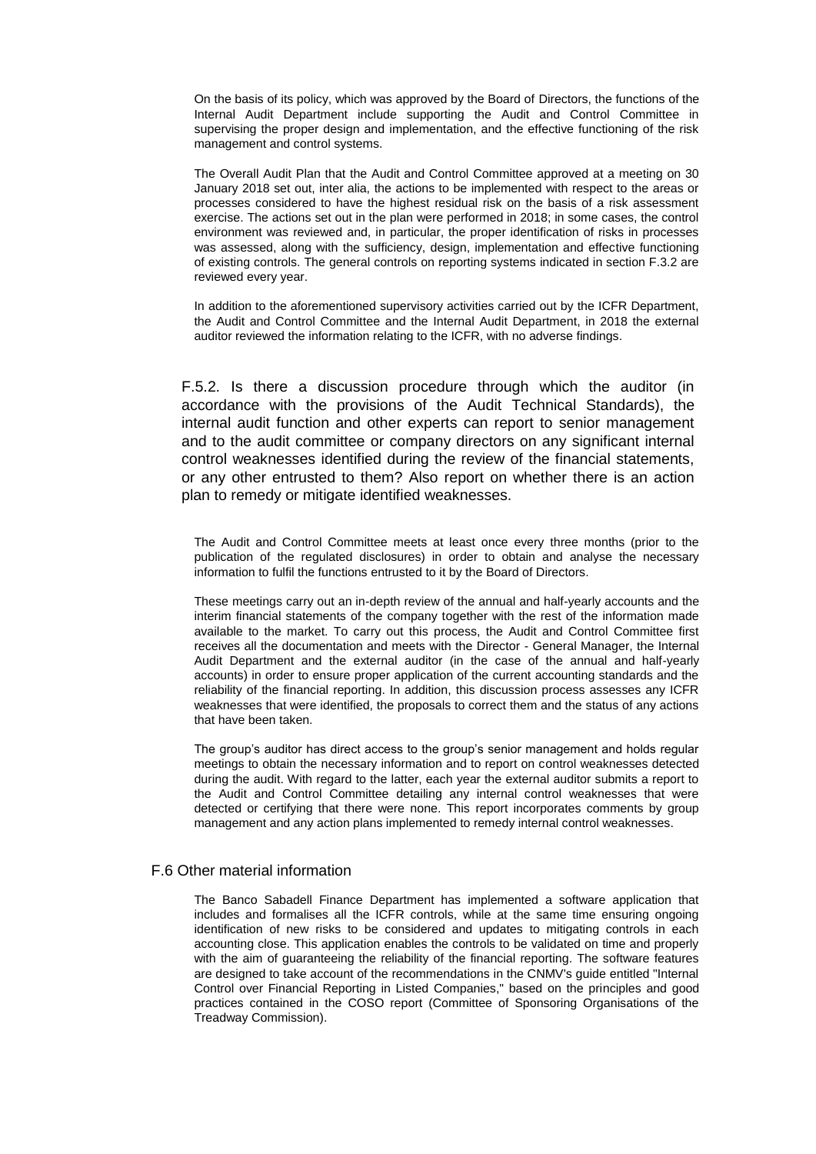On the basis of its policy, which was approved by the Board of Directors, the functions of the Internal Audit Department include supporting the Audit and Control Committee in supervising the proper design and implementation, and the effective functioning of the risk management and control systems.

The Overall Audit Plan that the Audit and Control Committee approved at a meeting on 30 January 2018 set out, inter alia, the actions to be implemented with respect to the areas or processes considered to have the highest residual risk on the basis of a risk assessment exercise. The actions set out in the plan were performed in 2018; in some cases, the control environment was reviewed and, in particular, the proper identification of risks in processes was assessed, along with the sufficiency, design, implementation and effective functioning of existing controls. The general controls on reporting systems indicated in section F.3.2 are reviewed every year.

In addition to the aforementioned supervisory activities carried out by the ICFR Department, the Audit and Control Committee and the Internal Audit Department, in 2018 the external auditor reviewed the information relating to the ICFR, with no adverse findings.

F.5.2. Is there a discussion procedure through which the auditor (in accordance with the provisions of the Audit Technical Standards), the internal audit function and other experts can report to senior management and to the audit committee or company directors on any significant internal control weaknesses identified during the review of the financial statements, or any other entrusted to them? Also report on whether there is an action plan to remedy or mitigate identified weaknesses.

The Audit and Control Committee meets at least once every three months (prior to the publication of the regulated disclosures) in order to obtain and analyse the necessary information to fulfil the functions entrusted to it by the Board of Directors.

These meetings carry out an in-depth review of the annual and half-yearly accounts and the interim financial statements of the company together with the rest of the information made available to the market. To carry out this process, the Audit and Control Committee first receives all the documentation and meets with the Director - General Manager, the Internal Audit Department and the external auditor (in the case of the annual and half-yearly accounts) in order to ensure proper application of the current accounting standards and the reliability of the financial reporting. In addition, this discussion process assesses any ICFR weaknesses that were identified, the proposals to correct them and the status of any actions that have been taken.

The group's auditor has direct access to the group's senior management and holds regular meetings to obtain the necessary information and to report on control weaknesses detected during the audit. With regard to the latter, each year the external auditor submits a report to the Audit and Control Committee detailing any internal control weaknesses that were detected or certifying that there were none. This report incorporates comments by group management and any action plans implemented to remedy internal control weaknesses.

#### F.6 Other material information

The Banco Sabadell Finance Department has implemented a software application that includes and formalises all the ICFR controls, while at the same time ensuring ongoing identification of new risks to be considered and updates to mitigating controls in each accounting close. This application enables the controls to be validated on time and properly with the aim of guaranteeing the reliability of the financial reporting. The software features are designed to take account of the recommendations in the CNMV's guide entitled "Internal Control over Financial Reporting in Listed Companies," based on the principles and good practices contained in the COSO report (Committee of Sponsoring Organisations of the Treadway Commission).